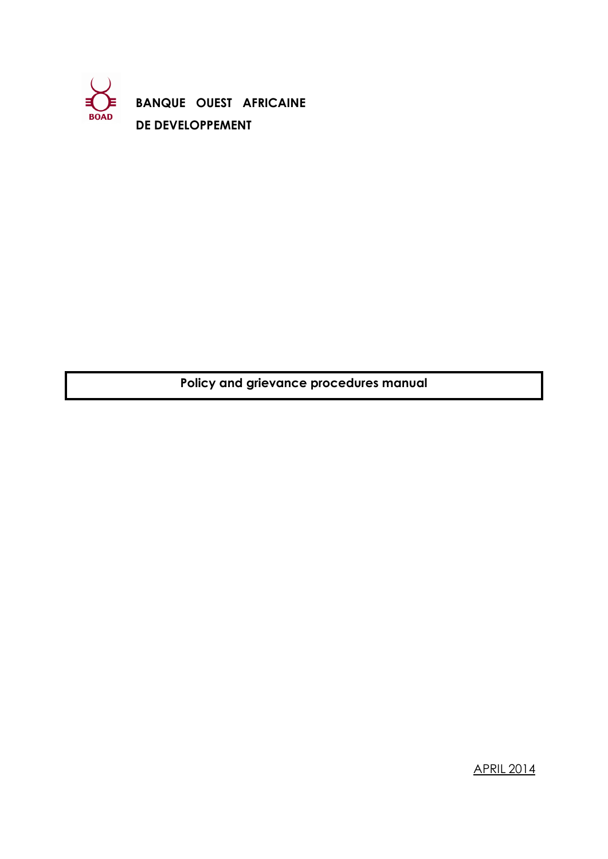

**BANQUE OUEST AFRICAINE DE DEVELOPPEMENT**

**Policy and grievance procedures manual**

APRIL 2014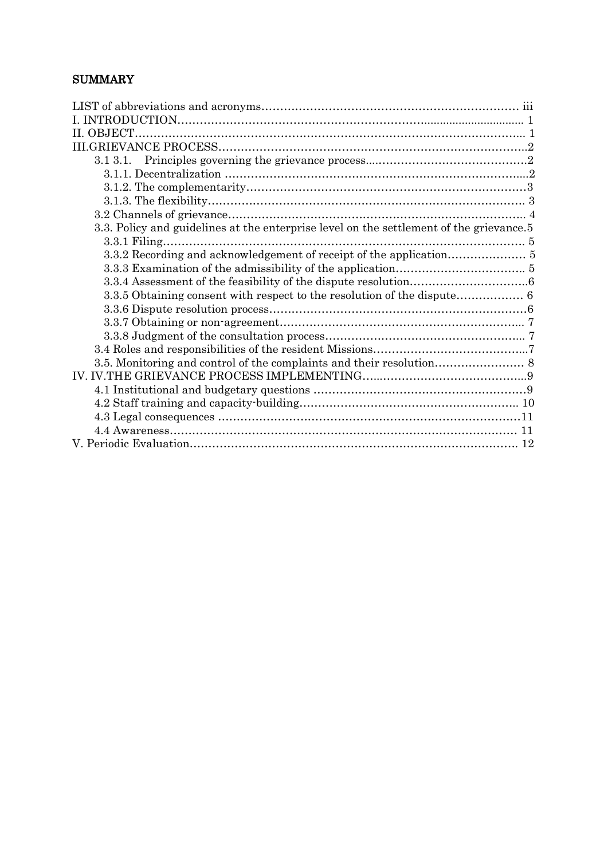# **SUMMARY**

| II. OBJECT.                                                                             |  |
|-----------------------------------------------------------------------------------------|--|
|                                                                                         |  |
|                                                                                         |  |
|                                                                                         |  |
|                                                                                         |  |
|                                                                                         |  |
|                                                                                         |  |
| 3.3. Policy and guidelines at the enterprise level on the settlement of the grievance.5 |  |
|                                                                                         |  |
|                                                                                         |  |
|                                                                                         |  |
|                                                                                         |  |
|                                                                                         |  |
|                                                                                         |  |
|                                                                                         |  |
|                                                                                         |  |
|                                                                                         |  |
|                                                                                         |  |
|                                                                                         |  |
|                                                                                         |  |
|                                                                                         |  |
|                                                                                         |  |
|                                                                                         |  |
|                                                                                         |  |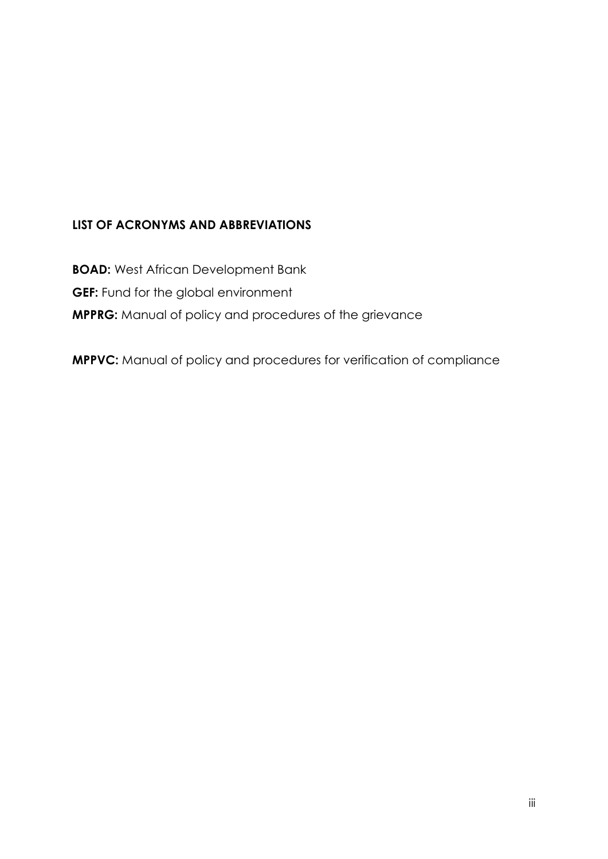# **LIST OF ACRONYMS AND ABBREVIATIONS**

**BOAD:** West African Development Bank **GEF:** Fund for the global environment **MPPRG:** Manual of policy and procedures of the grievance

**MPPVC:** Manual of policy and procedures for verification of compliance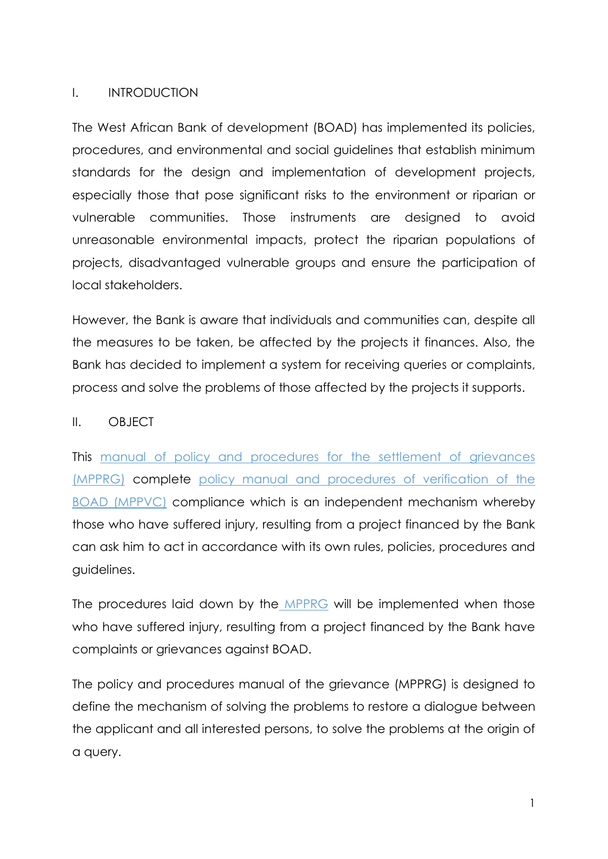## I. INTRODUCTION

The West African Bank of development (BOAD) has implemented its policies, procedures, and environmental and social guidelines that establish minimum standards for the design and implementation of development projects, especially those that pose significant risks to the environment or riparian or vulnerable communities. Those instruments are designed to avoid unreasonable environmental impacts, protect the riparian populations of projects, disadvantaged vulnerable groups and ensure the participation of local stakeholders.

However, the Bank is aware that individuals and communities can, despite all the measures to be taken, be affected by the projects it finances. Also, the Bank has decided to implement a system for receiving queries or complaints, process and solve the problems of those affected by the projects it supports.

## II. OBJECT

This manual of policy and procedures for the settlement of grievances (MPPRG) complete policy manual and procedures of verification of the BOAD (MPPVC) compliance which is an independent mechanism whereby those who have suffered injury, resulting from a project financed by the Bank can ask him to act in accordance with its own rules, policies, procedures and guidelines.

The procedures laid down by the MPPRG will be implemented when those who have suffered injury, resulting from a project financed by the Bank have complaints or grievances against BOAD.

The policy and procedures manual of the grievance (MPPRG) is designed to define the mechanism of solving the problems to restore a dialogue between the applicant and all interested persons, to solve the problems at the origin of a query.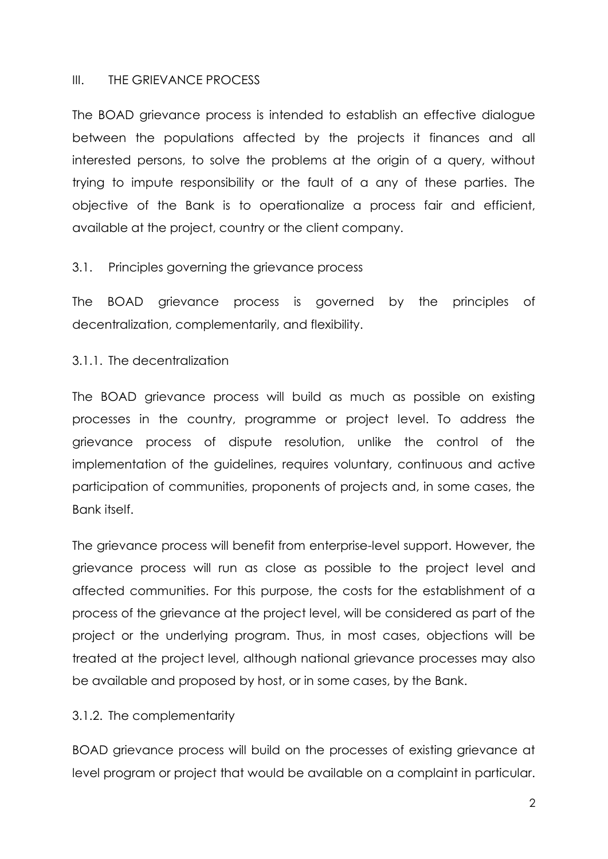#### III. THE GRIEVANCE PROCESS

The BOAD grievance process is intended to establish an effective dialogue between the populations affected by the projects it finances and all interested persons, to solve the problems at the origin of a query, without trying to impute responsibility or the fault of a any of these parties. The objective of the Bank is to operationalize a process fair and efficient, available at the project, country or the client company.

#### 3.1. Principles governing the grievance process

The BOAD grievance process is governed by the principles of decentralization, complementarily, and flexibility.

#### 3.1.1. The decentralization

The BOAD grievance process will build as much as possible on existing processes in the country, programme or project level. To address the grievance process of dispute resolution, unlike the control of the implementation of the guidelines, requires voluntary, continuous and active participation of communities, proponents of projects and, in some cases, the Bank itself.

The grievance process will benefit from enterprise-level support. However, the grievance process will run as close as possible to the project level and affected communities. For this purpose, the costs for the establishment of a process of the grievance at the project level, will be considered as part of the project or the underlying program. Thus, in most cases, objections will be treated at the project level, although national grievance processes may also be available and proposed by host, or in some cases, by the Bank.

## 3.1.2. The complementarity

BOAD grievance process will build on the processes of existing grievance at level program or project that would be available on a complaint in particular.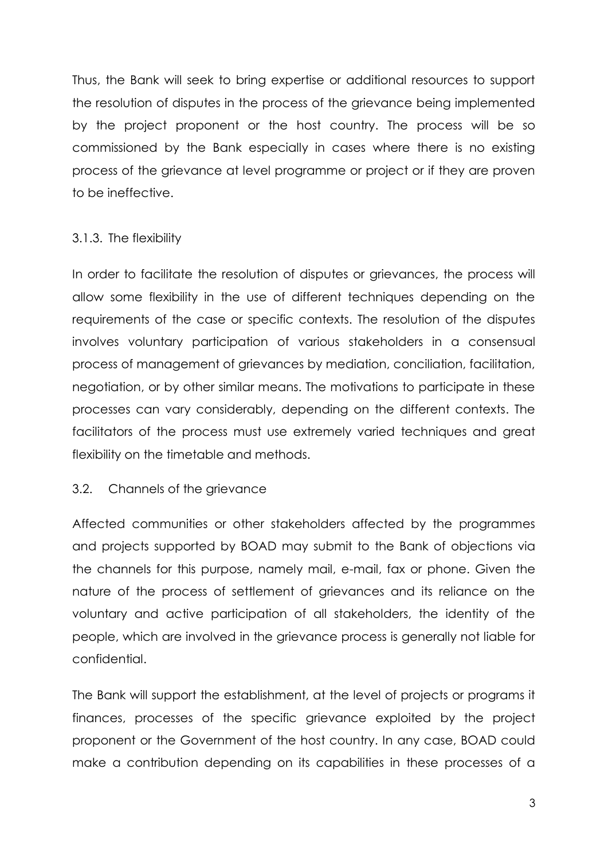Thus, the Bank will seek to bring expertise or additional resources to support the resolution of disputes in the process of the grievance being implemented by the project proponent or the host country. The process will be so commissioned by the Bank especially in cases where there is no existing process of the grievance at level programme or project or if they are proven to be ineffective.

## 3.1.3. The flexibility

In order to facilitate the resolution of disputes or grievances, the process will allow some flexibility in the use of different techniques depending on the requirements of the case or specific contexts. The resolution of the disputes involves voluntary participation of various stakeholders in a consensual process of management of grievances by mediation, conciliation, facilitation, negotiation, or by other similar means. The motivations to participate in these processes can vary considerably, depending on the different contexts. The facilitators of the process must use extremely varied techniques and great flexibility on the timetable and methods.

## 3.2. Channels of the grievance

Affected communities or other stakeholders affected by the programmes and projects supported by BOAD may submit to the Bank of objections via the channels for this purpose, namely mail, e-mail, fax or phone. Given the nature of the process of settlement of grievances and its reliance on the voluntary and active participation of all stakeholders, the identity of the people, which are involved in the grievance process is generally not liable for confidential.

The Bank will support the establishment, at the level of projects or programs it finances, processes of the specific grievance exploited by the project proponent or the Government of the host country. In any case, BOAD could make a contribution depending on its capabilities in these processes of a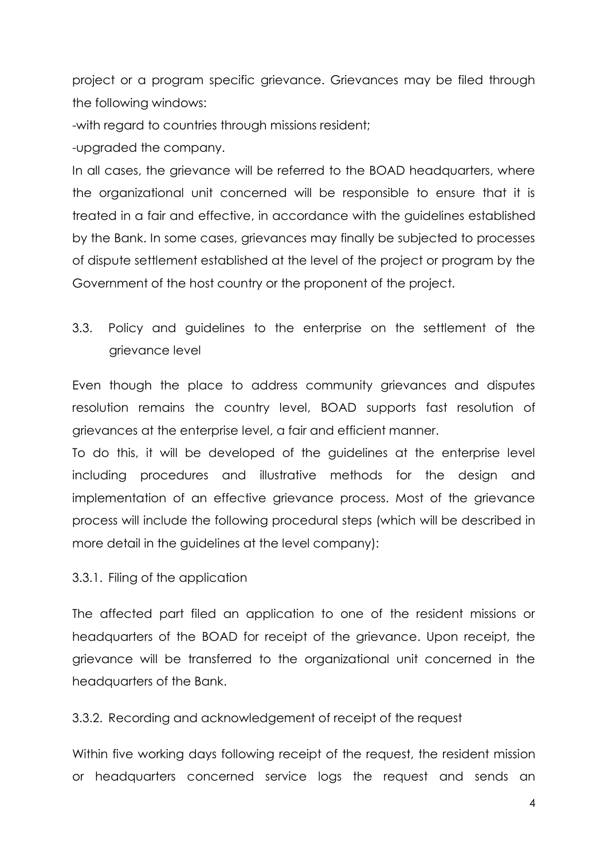project or a program specific grievance. Grievances may be filed through the following windows:

-with regard to countries through missions resident;

-upgraded the company.

In all cases, the grievance will be referred to the BOAD headquarters, where the organizational unit concerned will be responsible to ensure that it is treated in a fair and effective, in accordance with the guidelines established by the Bank. In some cases, grievances may finally be subjected to processes of dispute settlement established at the level of the project or program by the Government of the host country or the proponent of the project.

3.3. Policy and guidelines to the enterprise on the settlement of the grievance level

Even though the place to address community grievances and disputes resolution remains the country level, BOAD supports fast resolution of grievances at the enterprise level, a fair and efficient manner.

To do this, it will be developed of the guidelines at the enterprise level including procedures and illustrative methods for the design and implementation of an effective grievance process. Most of the grievance process will include the following procedural steps (which will be described in more detail in the guidelines at the level company):

3.3.1. Filing of the application

The affected part filed an application to one of the resident missions or headquarters of the BOAD for receipt of the grievance. Upon receipt, the grievance will be transferred to the organizational unit concerned in the headquarters of the Bank.

3.3.2. Recording and acknowledgement of receipt of the request

Within five working days following receipt of the request, the resident mission or headquarters concerned service logs the request and sends an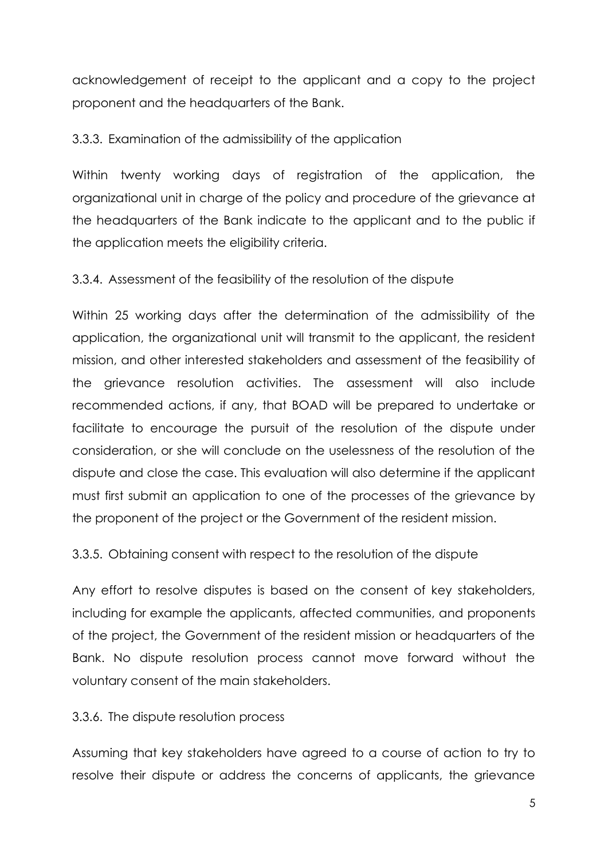acknowledgement of receipt to the applicant and a copy to the project proponent and the headquarters of the Bank.

3.3.3. Examination of the admissibility of the application

Within twenty working days of registration of the application, the organizational unit in charge of the policy and procedure of the grievance at the headquarters of the Bank indicate to the applicant and to the public if the application meets the eligibility criteria.

3.3.4. Assessment of the feasibility of the resolution of the dispute

Within 25 working days after the determination of the admissibility of the application, the organizational unit will transmit to the applicant, the resident mission, and other interested stakeholders and assessment of the feasibility of the grievance resolution activities. The assessment will also include recommended actions, if any, that BOAD will be prepared to undertake or facilitate to encourage the pursuit of the resolution of the dispute under consideration, or she will conclude on the uselessness of the resolution of the dispute and close the case. This evaluation will also determine if the applicant must first submit an application to one of the processes of the grievance by the proponent of the project or the Government of the resident mission.

3.3.5. Obtaining consent with respect to the resolution of the dispute

Any effort to resolve disputes is based on the consent of key stakeholders, including for example the applicants, affected communities, and proponents of the project, the Government of the resident mission or headquarters of the Bank. No dispute resolution process cannot move forward without the voluntary consent of the main stakeholders.

3.3.6. The dispute resolution process

Assuming that key stakeholders have agreed to a course of action to try to resolve their dispute or address the concerns of applicants, the grievance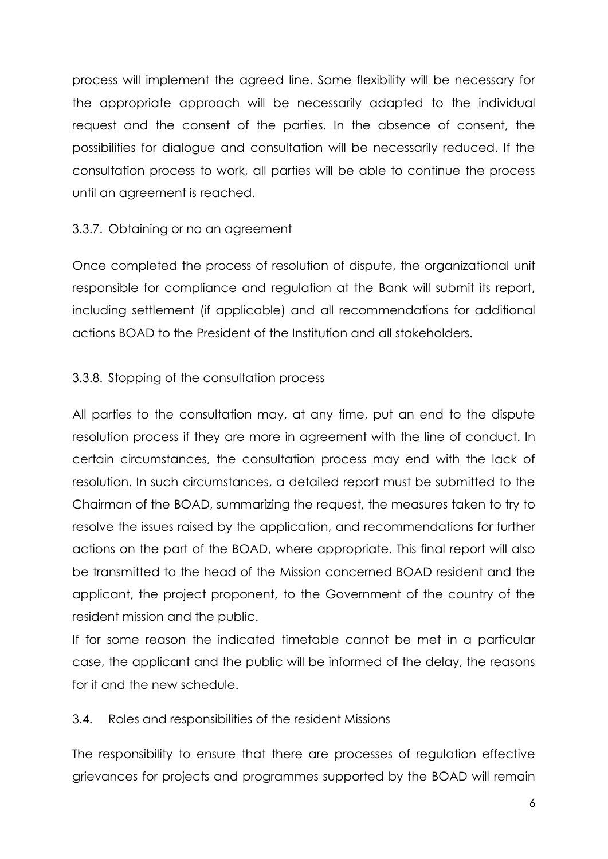process will implement the agreed line. Some flexibility will be necessary for the appropriate approach will be necessarily adapted to the individual request and the consent of the parties. In the absence of consent, the possibilities for dialogue and consultation will be necessarily reduced. If the consultation process to work, all parties will be able to continue the process until an agreement is reached.

## 3.3.7. Obtaining or no an agreement

Once completed the process of resolution of dispute, the organizational unit responsible for compliance and regulation at the Bank will submit its report, including settlement (if applicable) and all recommendations for additional actions BOAD to the President of the Institution and all stakeholders.

# 3.3.8. Stopping of the consultation process

All parties to the consultation may, at any time, put an end to the dispute resolution process if they are more in agreement with the line of conduct. In certain circumstances, the consultation process may end with the lack of resolution. In such circumstances, a detailed report must be submitted to the Chairman of the BOAD, summarizing the request, the measures taken to try to resolve the issues raised by the application, and recommendations for further actions on the part of the BOAD, where appropriate. This final report will also be transmitted to the head of the Mission concerned BOAD resident and the applicant, the project proponent, to the Government of the country of the resident mission and the public.

If for some reason the indicated timetable cannot be met in a particular case, the applicant and the public will be informed of the delay, the reasons for it and the new schedule.

## 3.4. Roles and responsibilities of the resident Missions

The responsibility to ensure that there are processes of regulation effective grievances for projects and programmes supported by the BOAD will remain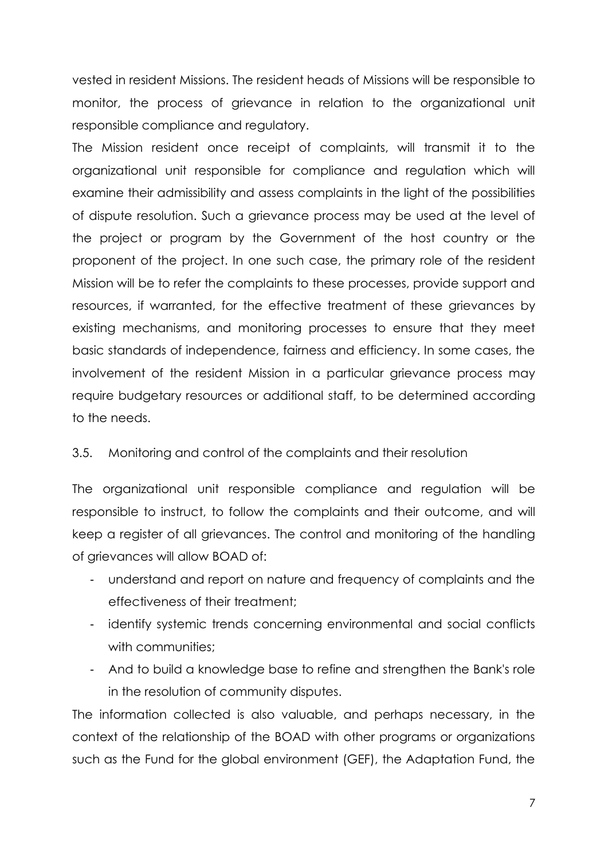vested in resident Missions. The resident heads of Missions will be responsible to monitor, the process of grievance in relation to the organizational unit responsible compliance and regulatory.

The Mission resident once receipt of complaints, will transmit it to the organizational unit responsible for compliance and regulation which will examine their admissibility and assess complaints in the light of the possibilities of dispute resolution. Such a grievance process may be used at the level of the project or program by the Government of the host country or the proponent of the project. In one such case, the primary role of the resident Mission will be to refer the complaints to these processes, provide support and resources, if warranted, for the effective treatment of these grievances by existing mechanisms, and monitoring processes to ensure that they meet basic standards of independence, fairness and efficiency. In some cases, the involvement of the resident Mission in a particular grievance process may require budgetary resources or additional staff, to be determined according to the needs.

## 3.5. Monitoring and control of the complaints and their resolution

The organizational unit responsible compliance and regulation will be responsible to instruct, to follow the complaints and their outcome, and will keep a register of all grievances. The control and monitoring of the handling of grievances will allow BOAD of:

- understand and report on nature and frequency of complaints and the effectiveness of their treatment;
- identify systemic trends concerning environmental and social conflicts with communities:
- And to build a knowledge base to refine and strengthen the Bank's role in the resolution of community disputes.

The information collected is also valuable, and perhaps necessary, in the context of the relationship of the BOAD with other programs or organizations such as the Fund for the global environment (GEF), the Adaptation Fund, the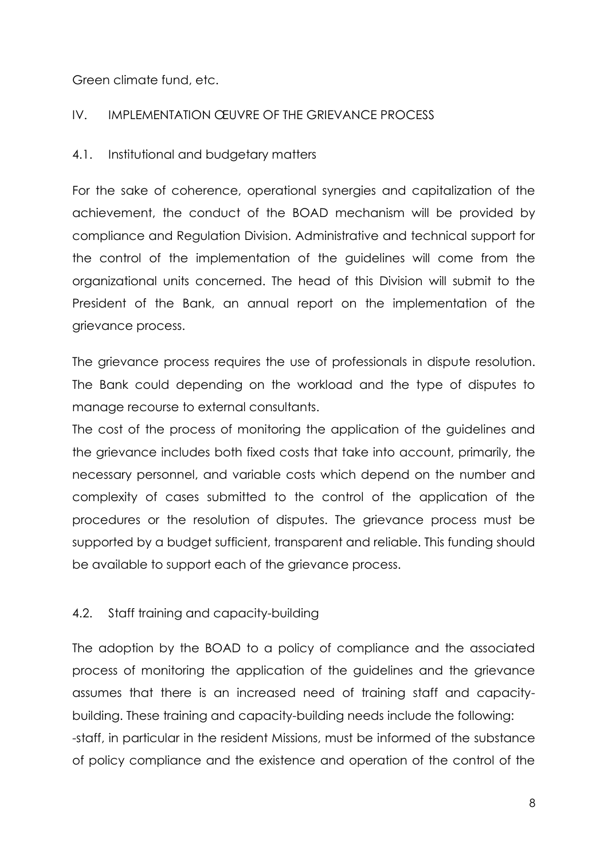Green climate fund, etc.

## IV. IMPLEMENTATION ŒUVRE OF THE GRIEVANCE PROCESS

#### 4.1. Institutional and budgetary matters

For the sake of coherence, operational synergies and capitalization of the achievement, the conduct of the BOAD mechanism will be provided by compliance and Regulation Division. Administrative and technical support for the control of the implementation of the guidelines will come from the organizational units concerned. The head of this Division will submit to the President of the Bank, an annual report on the implementation of the grievance process.

The grievance process requires the use of professionals in dispute resolution. The Bank could depending on the workload and the type of disputes to manage recourse to external consultants.

The cost of the process of monitoring the application of the guidelines and the grievance includes both fixed costs that take into account, primarily, the necessary personnel, and variable costs which depend on the number and complexity of cases submitted to the control of the application of the procedures or the resolution of disputes. The grievance process must be supported by a budget sufficient, transparent and reliable. This funding should be available to support each of the grievance process.

## 4.2. Staff training and capacity-building

The adoption by the BOAD to a policy of compliance and the associated process of monitoring the application of the guidelines and the grievance assumes that there is an increased need of training staff and capacitybuilding. These training and capacity-building needs include the following: -staff, in particular in the resident Missions, must be informed of the substance of policy compliance and the existence and operation of the control of the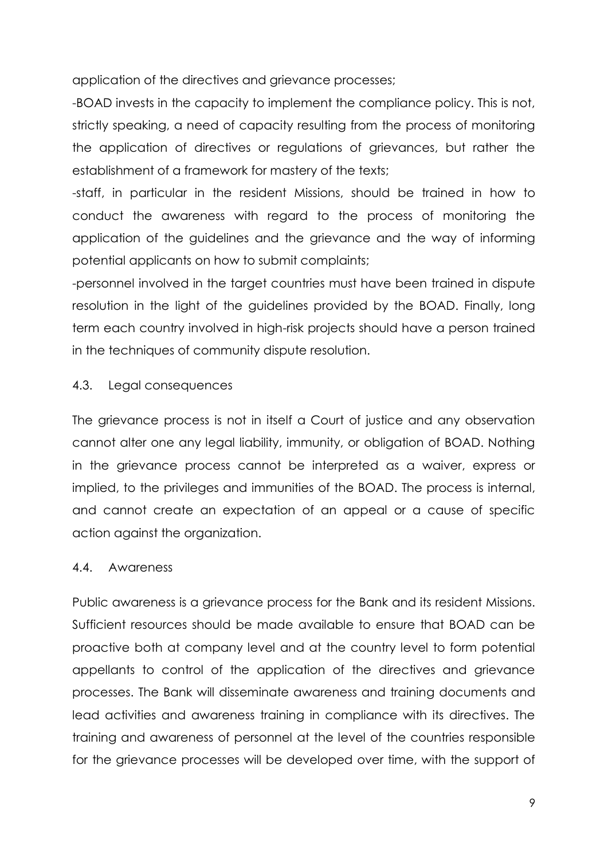application of the directives and grievance processes;

-BOAD invests in the capacity to implement the compliance policy. This is not, strictly speaking, a need of capacity resulting from the process of monitoring the application of directives or regulations of grievances, but rather the establishment of a framework for mastery of the texts;

-staff, in particular in the resident Missions, should be trained in how to conduct the awareness with regard to the process of monitoring the application of the guidelines and the grievance and the way of informing potential applicants on how to submit complaints;

-personnel involved in the target countries must have been trained in dispute resolution in the light of the guidelines provided by the BOAD. Finally, long term each country involved in high-risk projects should have a person trained in the techniques of community dispute resolution.

# 4.3. Legal consequences

The grievance process is not in itself a Court of justice and any observation cannot alter one any legal liability, immunity, or obligation of BOAD. Nothing in the grievance process cannot be interpreted as a waiver, express or implied, to the privileges and immunities of the BOAD. The process is internal, and cannot create an expectation of an appeal or a cause of specific action against the organization.

# 4.4. Awareness

Public awareness is a grievance process for the Bank and its resident Missions. Sufficient resources should be made available to ensure that BOAD can be proactive both at company level and at the country level to form potential appellants to control of the application of the directives and grievance processes. The Bank will disseminate awareness and training documents and lead activities and awareness training in compliance with its directives. The training and awareness of personnel at the level of the countries responsible for the grievance processes will be developed over time, with the support of